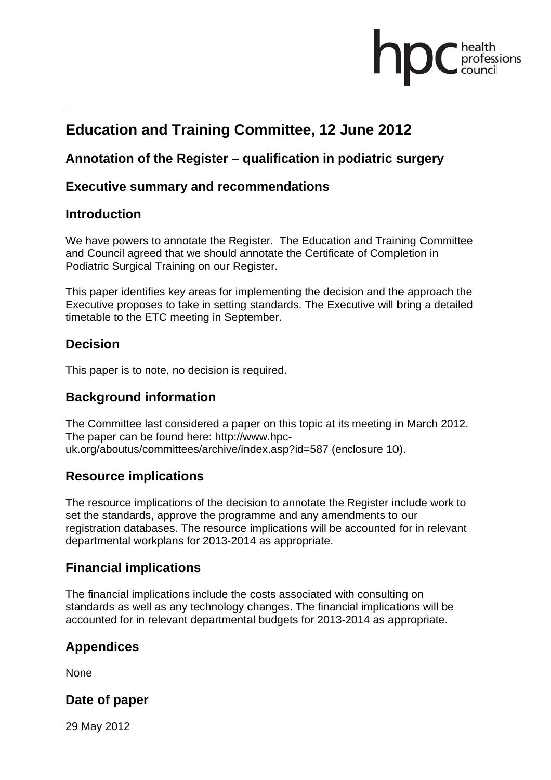## fessions

## **Education and Training Committee, 12 June 2012**

#### Annotation of the Register – qualification in podiatric surgery

#### **Executive summary and recommendations**

#### **Introduction**

We have powers to annotate the Register. The Education and Training Committee and Council agreed that we should annotate the Certificate of Completion in Podiatric Surgical Training on our Register.

This paper identifies key areas for implementing the decision and the approach the Executive proposes to take in setting standards. The Executive will bring a detailed timetable to the ETC meeting in September.

#### **Decision**

This paper is to note, no decision is required.

#### **Background information**

The Committee last considered a paper on this topic at its meeting in March 2012. The paper can be found here: http://www.hpcuk.org/aboutus/committees/archive/index.asp?id=587 (enclosure 10).

#### **Resource implications**

The resource implications of the decision to annotate the Register include work to set the standards, approve the programme and any amendments to our registration databases. The resource implications will be accounted for in relevant departmental workplans for 2013-2014 as appropriate.

#### **Financial implications**

The financial implications include the costs associated with consulting on standards as well as any technology changes. The financial implications will be accounted for in relevant departmental budgets for 2013-2014 as appropriate.

#### **Appendices**

None

#### Date of paper

29 May 2012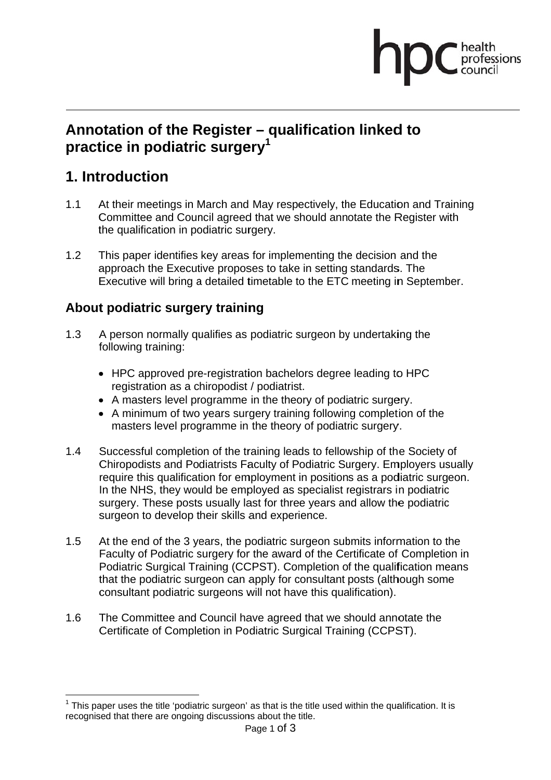# professions

### Annotation of the Register - qualification linked to practice in podiatric surgery<sup>1</sup>

## 1. Introduction

- At their meetings in March and May respectively, the Education and Training  $1.1$ Committee and Council agreed that we should annotate the Register with the qualification in podiatric surgery.
- $12$ This paper identifies key areas for implementing the decision and the approach the Executive proposes to take in setting standards. The Executive will bring a detailed timetable to the ETC meeting in September.

#### About podiatric surgery training

- $1.3$ A person normally qualifies as podiatric surgeon by undertaking the following training:
	- HPC approved pre-registration bachelors degree leading to HPC registration as a chiropodist / podiatrist.
	- A masters level programme in the theory of podiatric surgery.
	- A minimum of two years surgery training following completion of the masters level programme in the theory of podiatric surgery.
- $1.4$ Successful completion of the training leads to fellowship of the Society of Chiropodists and Podiatrists Faculty of Podiatric Surgery. Employers usually require this qualification for employment in positions as a podiatric surgeon. In the NHS, they would be employed as specialist registrars in podiatric surgery. These posts usually last for three years and allow the podiatric surgeon to develop their skills and experience.
- $1.5$ At the end of the 3 years, the podiatric surgeon submits information to the Faculty of Podiatric surgery for the award of the Certificate of Completion in Podiatric Surgical Training (CCPST). Completion of the qualification means that the podiatric surgeon can apply for consultant posts (although some consultant podiatric surgeons will not have this qualification).
- $1.6$ The Committee and Council have agreed that we should annotate the Certificate of Completion in Podiatric Surgical Training (CCPST).

This paper uses the title 'podiatric surgeon' as that is the title used within the qualification. It is recognised that there are ongoing discussions about the title.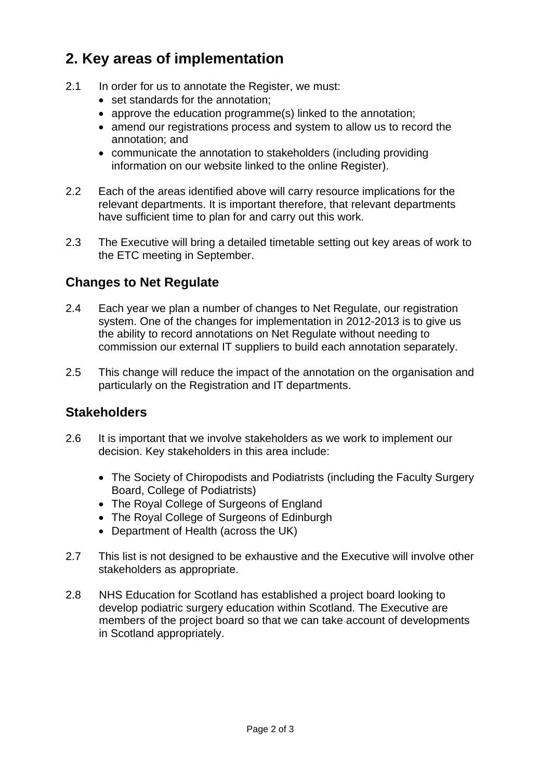## **2. Key areas of implementation**

- 2.1 In order for us to annotate the Register, we must:
	- set standards for the annotation;
	- approve the education programme(s) linked to the annotation;
	- amend our registrations process and system to allow us to record the annotation; and
	- communicate the annotation to stakeholders (including providing information on our website linked to the online Register).
- 2.2 Each of the areas identified above will carry resource implications for the relevant departments. It is important therefore, that relevant departments have sufficient time to plan for and carry out this work.
- 2.3 The Executive will bring a detailed timetable setting out key areas of work to the ETC meeting in September.

#### **Changes to Net Regulate**

- 2.4 Each year we plan a number of changes to Net Regulate, our registration system. One of the changes for implementation in 2012-2013 is to give us the ability to record annotations on Net Regulate without needing to commission our external IT suppliers to build each annotation separately.
- 2.5 This change will reduce the impact of the annotation on the organisation and particularly on the Registration and IT departments.

#### **Stakeholders**

- 2.6 It is important that we involve stakeholders as we work to implement our decision. Key stakeholders in this area include:
	- The Society of Chiropodists and Podiatrists (including the Faculty Surgery Board, College of Podiatrists)
	- The Royal College of Surgeons of England
	- The Royal College of Surgeons of Edinburgh
	- Department of Health (across the UK)
- 2.7 This list is not designed to be exhaustive and the Executive will involve other stakeholders as appropriate.
- 2.8 NHS Education for Scotland has established a project board looking to develop podiatric surgery education within Scotland. The Executive are members of the project board so that we can take account of developments in Scotland appropriately.